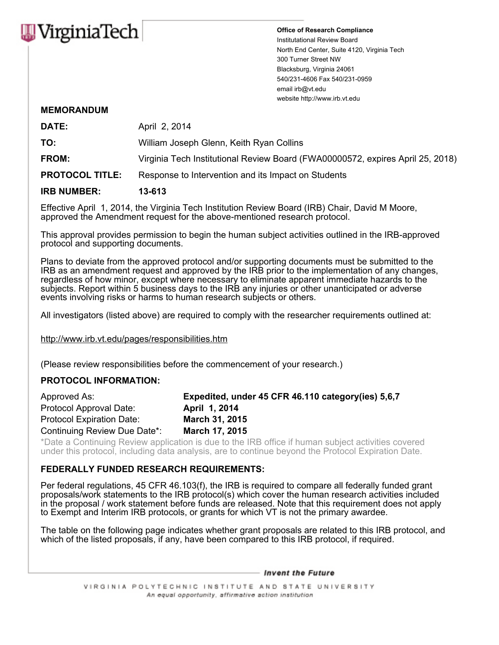

**Office of Research Compliance** Institutational Review Board North End Center, Suite 4120, Virginia Tech 300 Turner Street NW Blacksburg, Virginia 24061 540/231-4606 Fax 540/231-0959 email irb@vt.edu website http://www.irb.vt.edu

## **MEMORANDUM**

| <b>IRB NUMBER:</b>     | 13-613                                                                         |  |
|------------------------|--------------------------------------------------------------------------------|--|
| <b>PROTOCOL TITLE:</b> | Response to Intervention and its Impact on Students                            |  |
| <b>FROM:</b>           | Virginia Tech Institutional Review Board (FWA00000572, expires April 25, 2018) |  |
| TO:                    | William Joseph Glenn, Keith Ryan Collins                                       |  |
| DATE:                  | April 2, 2014                                                                  |  |

Effective April 1, 2014, the Virginia Tech Institution Review Board (IRB) Chair, David M Moore, approved the Amendment request for the above-mentioned research protocol.

This approval provides permission to begin the human subject activities outlined in the IRB-approved protocol and supporting documents.

Plans to deviate from the approved protocol and/or supporting documents must be submitted to the IRB as an amendment request and approved by the IRB prior to the implementation of any changes, regardless of how minor, except where necessary to eliminate apparent immediate hazards to the subjects. Report within 5 business days to the IRB any injuries or other unanticipated or adverse events involving risks or harms to human research subjects or others.

All investigators (listed above) are required to comply with the researcher requirements outlined at:

http://www.irb.vt.edu/pages/responsibilities.htm

(Please review responsibilities before the commencement of your research.)

## **PROTOCOL INFORMATION:**

| Approved As:                 | Expedited, under 45 CFR 46.110 category (ies) 5,6,7 |
|------------------------------|-----------------------------------------------------|
| Protocol Approval Date:      | April 1, 2014                                       |
| Protocol Expiration Date:    | March 31, 2015                                      |
| Continuing Review Due Date*: | <b>March 17, 2015</b>                               |

\*Date a Continuing Review application is due to the IRB office if human subject activities covered under this protocol, including data analysis, are to continue beyond the Protocol Expiration Date.

## **FEDERALLY FUNDED RESEARCH REQUIREMENTS:**

Per federal regulations, 45 CFR 46.103(f), the IRB is required to compare all federally funded grant proposals/work statements to the IRB protocol(s) which cover the human research activities included in the proposal / work statement before funds are released. Note that this requirement does not apply to Exempt and Interim IRB protocols, or grants for which VT is not the primary awardee.

The table on the following page indicates whether grant proposals are related to this IRB protocol, and which of the listed proposals, if any, have been compared to this IRB protocol, if required.

- Invent the Future